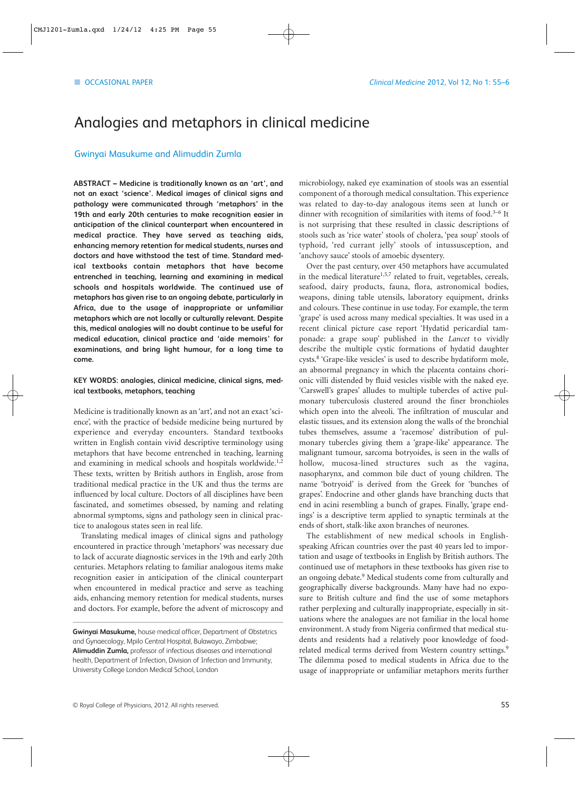## Analogies and metaphors in clinical medicine

#### Gwinyai Masukume and Alimuddin Zumla

**ABSTRACT – Medicine is traditionally known as an 'art', and not an exact 'science'. Medical images of clinical signs and pathology were communicated through 'metaphors' in the 19th and early 20th centuries to make recognition easier in anticipation of the clinical counterpart when encountered in medical practice. They have served as teaching aids, enhancing memory retention for medical students, nurses and doctors and have withstood the test of time. Standard medical textbooks contain metaphors that have become entrenched in teaching, learning and examining in medical schools and hospitals worldwide. The continued use of metaphors has given rise to an ongoing debate, particularly in Africa, due to the usage of inappropriate or unfamiliar metaphors which are not locally or culturally relevant. Despite this, medical analogies will no doubt continue to be useful for medical education, clinical practice and 'aide memoirs' for examinations, and bring light humour, for a long time to come.** 

#### **KEY WORDS: analogies, clinical medicine, clinical signs, medical textbooks, metaphors, teaching**

Medicine is traditionally known as an 'art', and not an exact 'science', with the practice of bedside medicine being nurtured by experience and everyday encounters. Standard textbooks written in English contain vivid descriptive terminology using metaphors that have become entrenched in teaching, learning and examining in medical schools and hospitals worldwide. $1,2$ These texts, written by British authors in English, arose from traditional medical practice in the UK and thus the terms are influenced by local culture. Doctors of all disciplines have been fascinated, and sometimes obsessed, by naming and relating abnormal symptoms, signs and pathology seen in clinical practice to analogous states seen in real life.

Translating medical images of clinical signs and pathology encountered in practice through 'metaphors' was necessary due to lack of accurate diagnostic services in the 19th and early 20th centuries. Metaphors relating to familiar analogous items make recognition easier in anticipation of the clinical counterpart when encountered in medical practice and serve as teaching aids, enhancing memory retention for medical students, nurses and doctors. For example, before the advent of microscopy and microbiology, naked eye examination of stools was an essential component of a thorough medical consultation. This experience was related to day-to-day analogous items seen at lunch or dinner with recognition of similarities with items of food. $3-6$  It is not surprising that these resulted in classic descriptions of stools such as 'rice water' stools of cholera, 'pea soup' stools of typhoid, 'red currant jelly' stools of intussusception, and 'anchovy sauce' stools of amoebic dysentery.

Over the past century, over 450 metaphors have accumulated in the medical literature<sup>1,5,7</sup> related to fruit, vegetables, cereals, seafood, dairy products, fauna, flora, astronomical bodies, weapons, dining table utensils, laboratory equipment, drinks and colours. These continue in use today. For example, the term 'grape' is used across many medical specialties. It was used in a recent clinical picture case report 'Hydatid pericardial tamponade: a grape soup' published in the *Lancet* to vividly describe the multiple cystic formations of hydatid daughter cysts.8 'Grape-like vesicles' is used to describe hydatiform mole, an abnormal pregnancy in which the placenta contains chorionic villi distended by fluid vesicles visible with the naked eye. 'Carswell's grapes' alludes to multiple tubercles of active pulmonary tuberculosis clustered around the finer bronchioles which open into the alveoli. The infiltration of muscular and elastic tissues, and its extension along the walls of the bronchial tubes themselves, assume a 'racemose' distribution of pulmonary tubercles giving them a 'grape-like' appearance. The malignant tumour, sarcoma botryoides, is seen in the walls of hollow, mucosa-lined structures such as the vagina, nasopharynx, and common bile duct of young children. The name 'botryoid' is derived from the Greek for 'bunches of grapes'. Endocrine and other glands have branching ducts that end in acini resembling a bunch of grapes. Finally, 'grape endings' is a descriptive term applied to synaptic terminals at the ends of short, stalk-like axon branches of neurones.

The establishment of new medical schools in Englishspeaking African countries over the past 40 years led to importation and usage of textbooks in English by British authors. The continued use of metaphors in these textbooks has given rise to an ongoing debate.<sup>9</sup> Medical students come from culturally and geographically diverse backgrounds. Many have had no exposure to British culture and find the use of some metaphors rather perplexing and culturally inappropriate, especially in situations where the analogues are not familiar in the local home environment. A study from Nigeria confirmed that medical students and residents had a relatively poor knowledge of foodrelated medical terms derived from Western country settings.<sup>9</sup> The dilemma posed to medical students in Africa due to the usage of inappropriate or unfamiliar metaphors merits further

**Gwinyai Masukume,** house medical officer, Department of Obstetrics and Gynaecology, Mpilo Central Hospital, Bulawayo, Zimbabwe; **Alimuddin Zumla,** professor of infectious diseases and international health, Department of Infection, Division of Infection and Immunity, University College London Medical School, London